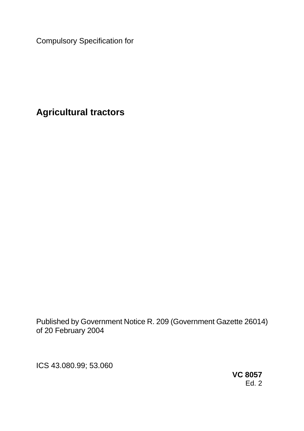Compulsory Specification for

**Agricultural tractors**

Published by Government Notice R. 209 (Government Gazette 26014) of 20 February 2004

ICS 43.080.99; 53.060

**VC 8057**  Ed. 2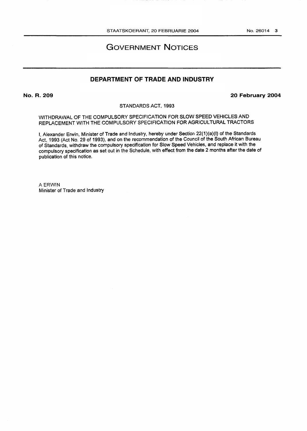# GOVERNMENT NOTICES

# **DEPARTMENT OF TRADE AND INDUSTRY**

**No. R. 209 20 February 2004**

STANDARDS ACT, 1993

WITHDRAWAL OF THE COMPULSORY SPECIFICATION FOR SLOW SPEED VEHICLES AND REPLACEMENT WITH THE COMPULSORY SPECIFICATION FOR AGRICULTURAL TRACTORS

I, Alexander Erwin, Minister of Trade and Industry, hereby under Section 22(1)(a)(l) of the Standards Act, 1993 (Act No. 29 of 1993), and on the recommendation of the Council of the South African Bureau of Standards, withdraw the compulsory specification for Slow Speed Vehicles, and replace it with the compulsory specification as set out in the Schedule, with effect from the date 2 months after the date of publication of this notice.

A ERWIN Minister of Trade and Industry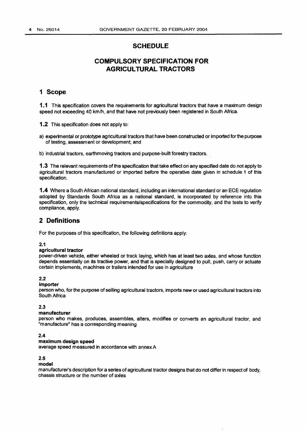# **SCHEDULE**

# **COMPULSORY SPECIFICATION FOR AGRICULTURAL TRACTORS**

## **1 Scope**

**1.1** This specification covers the requirements for agricultural tractors that have a maximum design speed not exceeding 40 km/h, and that have not previously been registered in South Africa.

1.2 This specification does not apply to:

a) experimental or prototype agricultural tractors that have been constructed or imported for the purpose of testing, assessment or development; and

b) industrial tractors, earthmoving tractors and purpose-built forestry tractors,

1.3 The relevant requirements of the specification that take effect on any specified date do not apply to agricultural tractors manufactured or imported before the operative date given in schedule 1 of this specification.

1.4 Where a South African national standard, including an international standard or an ECE regulation adopted by Standards South Africa as a national standard, is incorporated by reference into this specification, only the technical requirements/specifications for the commodity, and the tests to verify compliance, apply.

## **2 Definitions**

For the purposes of this specification, the following definitions apply:

#### **2.1**

#### **agricultural tractor**

power-driven vehicle, either wheeled or track laying, which has at least two axles, and whose function depends essentially on its tractive power, and that is specially designed to pull, push, carry or actuate certain implements, machines or trailers intended for use in agriculture

#### **2.2**

#### **importer**

person who, for the purpose of selling agricultural tractors, imports new or used agricultural tractors into South Africa

#### **2.3**

#### **manufacturer**

person who makes, produces, assembles, alters, modifies or converts an agricultural tractor, and "manufacture" has a corresponding meaning

#### **2.4**

#### **maximum design speed**

average speed measured in accordance with annex A

#### **2.5**

#### **model**

manufacturer's description for a series of agricultural tractor designs that do not differ in respect of body, chassis structure or the number of axles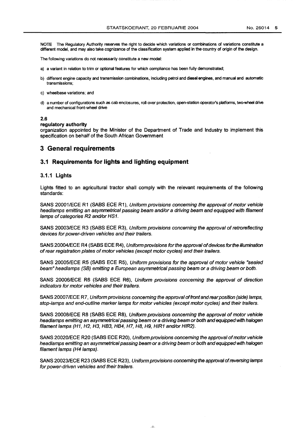NOTE The Regulatory Authority reserves the right to decide which variations or combinations of variations constitute a different model, and may also take cognizance of the classification system applied in the country of origin of the design.

The following variations do not necessarily constitute a new model:

- a) a variant in relation to trim or optional features for which compliance has been fully demonstrated;
- b) different engine capacity and transmission combinations, including petrol and diesel engines, and manual and automatic transmissions;
- c) wheelbase variations; and
- d) a number of configurations such as cab enclosures, roll-over protection, open-station operator's platforms, two-wheel drive and mechanical front-wheel drive

#### **2.6**

#### **regulatory authority**

organization appointed by the Minister of the Department of Trade and Industry to implement this specification on behalf of the South African Government

### **3 General requirements**

### **3.1 Requirements for lights and lighting equipment**

#### **3.1.1 Lights**

Lights fitted to an agricultural tractor shall comply with the relevant requirements of the following standards:

SANS 20001/ECE R1 (SABS ECE R1), Uniform provisions concerning the approval of motor vehicle headlamps emitting an asymmetrical passing beam and/or a driving beam and equipped with filament lamps of categories R2 and/or HS1.

SANS 20003/ECE R3 (SABS ECE R3), Uniform provisions concerning the approval of retroreflecting devices for power-driven vehicles and their trailers.

SANS 20004/ECE R4 (SABS ECE R4), Uniform provisions for the approval of devices for the illumination of rear registration plates of motor vehicles (except motor cycles) and their trailers.

SANS 20005/ECE R5 (SABS ECE R5), Uniform provisions for the approval of motor vehicle "sealed beam" headlamps (SB) emitting a European asymmetrical passing beam or a driving beam or both.

SANS 20006/ECE R6 (SABS ECE R6), Uniform provisions concerning the approval of direction indicators for motor vehicles and their trailers.

SANS 20007/ECE R7, Uniform provisions concerning the approval of front and rear position (side) lamps, stop-lamps and end-outline marker lamps for motor vehicles (except motor cycles) and their trailers.

SANS 20008/ECE R8 (SABS ECE R8), Uniform provisions concerning the approval of motor vehicle headlamps emitting an asymmetrical passing beam or a driving beam or both and equipped with halogen filament lamps (H1, H2, H3, HB3, HB4, H7, H8, H9, HIR1 and/or HIR2).

SANS 20020/ECE R20 (SABS ECE R20), Uniform provisions concerning the approval of motor vehicle headlamps emitting an asymmetrical passing beam or a driving beam or both and equipped with halogen filament lamps (H4 lamps).

SANS 20023/ECE R23 (SABS ECE R23), Uniform provisions concerning the approval of reversing lamps for power-driven vehicles and their trailers.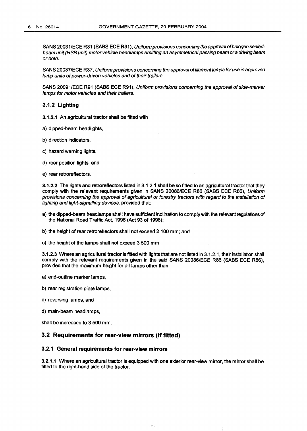SANS 20031/ECE R31 (SABS ECE R31), Uniform provisions concerning the approval of halogen sealedbeam unit (HSB unit) motor vehicle headlamps emitting an asymmetrical passing beam or a driving beam or both.

SANS 20037/ECE R37, Uniform provisions concerning the approval of filament lamps for use in approved lamp units of power-driven vehicles and of their trailers.

SANS 20091/ECE R91 (SABS ECE R91), Uniform provisions concerning the approval of side-marker lamps for motor vehicles and their trailers.

#### **3.1.2 Lighting**

- 3.1.2.1 An agricultural tractor shall be fitted with
- a) dipped-beam headlights,
- b) direction indicators,
- c) hazard warning lights,
- d) rear position lights, and
- e) rear retroreflectors.

3.1.2.2 The lights and retroreflectors listed in 3.1.2.1 shall be so fitted to an agricultural tractor that they comply with the relevant requirements given in SANS 20086/ECE R86 (SABS ECE R86), Uniform provisions concerning the approval of agricultural or forestry tractors with regard to the installation of lighting and light-signalling devices, provided that:

- a) the dipped-beam headlamps shall have sufficient inclination to comply with the relevant regulations of the National Road Traffic Act, 1996 (Act 93 of 1996);
- b) the height of rear retroreflectors shall not exceed 2 100 mm; and
- c) the height of the lamps shall not exceed 3 500 mm.

3.1.2.3 Where an agricultural tractor is fitted with lights that are not listed in 3.1.2.1, their installation shall comply with the relevant requirements given in the said SANS 20086/ECE R86 (SABS ECE R86), provided that the maximum height for all lamps other than

- a) end-outline marker lamps,
- b) rear registration plate lamps,
- c) reversing lamps, and
- d) main-beam headlamps,

shall be increased to 3 500 mm.

#### **3.2 Requirements for rear-view mirrors (if fitted)**

#### **3.2.1 General requirements for rear-view mirrors**

3.2.1.1 Where an agricultural tractor is equipped with one exterior rear-view mirror, the mirror shall be fitted to the right-hand side of the tractor.

 $\overline{\mathcal{A}}$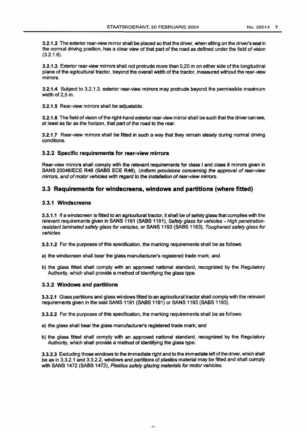3.2.1.2 The exterior rear-view mirror shall be placed so that the driver, when sitting on the driver's seat in the normal driving position, has a clear view of that part of the road as defined under the field of vision (3.2.1.6).

3.2.1.3 Exterior rear-view mirrors shall not protrude more than 0,20 m on either side of the longitudinal plane of the agricultural tractor, beyond the overall width of the tractor, measured without the rear-view mirrors.

3.2.1.4 Subject to 3.2.1.3, exterior rear-view mirrors may protrude beyond the permissible maximum width of 2,5m.

3.2.1.5 Rear-view mirrors shall be adjustable.

3.2.1.6 The field of vision of the right-hand exterior rear-view mirror shall be such that the driver can see, at least as far as the horizon, that part of the road to the rear.

3.2.1.7 Rear-view mirrors shall be fitted in such a way that they remain steady during normal driving conditions.

#### **3.2.2 Specific requirements for rear-view mirrors**

Rear-view mirrors shall comply with the relevant requirements for class I and class II mirrors given in SANS 20046/ECE R46 (SABS ECE R46), Uniform provisions concerning the approval of rear-view mirrors, and of motor vehicles with regard to the installation of rear-view mirrors.

#### **3.3 Requirements for windscreens, windows and partitions (where fitted)**

#### **3.3.1 Windscreens**

3.3.1.1 If a windscreen is fitted to an agricultural tractor, it shall be of safety glass that complies with the relevant requirements given in SANS 1191 (SABS 1191), Safety glass for vehicles - High penetrationresistant laminated safety glass for vehicles, or SANS 1193 (SABS 1193), Toughened safety glass for vehicles.

3.3.1.2 For the purposes of this specification, the marking requirements shall be as follows:

a) the windscreen shall bear the glass manufacturer's registered trade mark; and

b) the glass fitted shall comply with an approved national standard, recognized by the Regulatory Authority, which shall provide a method of identifying the glass type.

#### **3.3.2 Windows and partitions**

3.3.2.1 Glass partitions and glass windows fitted to an agricultural tractor shall comply with the relevant requirements given in the said SANS 1191 (SABS 1191) or SANS 1193 (SABS 1193).

3.3.2.2 For the purposes of this specification, the marking requirements shall be as follows:

a) the glass shall bear the glass manufacturer's registered trade mark; and

b) the glass fitted shall comply with an approved national standard, recognized by the Regulatory Authority, which shall provide a method of identifying the glass type.

3.3.2.3 Excluding those windows to the immediate right and to the immediate left of the driver, which shall be as in 3.3.2.1 and 3.3.2.2, windows and partitions of plastics material may be fitted and shall comply with SANS 1472 (SABS 1472), Plastics safety glazing materials for motor vehicles.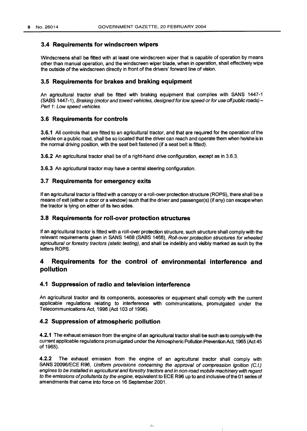### **3.4 Requirements for windscreen wipers**

Windscreens shall be fitted with at least one windscreen wiper that is capable of operation by means other than manual operation, and the windscreen wiper blade, when in operation, shall effectively wipe the outside of the windscreen directly in front of the drivers' forward line of vision.

### **3.5 Requirements for brakes and braking equipment**

An agricultural tractor shall be fitted with braking equipment that complies with SANS 1447-1 (SABS 1447-1), Braking (motor and towed vehicles, designed for low speed or for use off public roads) - Part 1: Low speed vehicles.

### **3.6 Requirements for controls**

**3.6.1** All controls that are fitted to an agricultural tractor, and that are required for the operation of the vehicle on a public road, shall be so located that the driver can reach and operate them when he/she is in the normal driving position, with the seat belt fastened (if a seat belt is fitted).

**3.6.2** An agricultural tractor shall be of a right-hand drive configuration, except as in 3.6.3.

**3.6.3** An agricultural tractor may have a central steering configuration.

### **3.7 Requirements for emergency exits**

If an agricultural tractor is fitted with a canopy or a roll-over protection structure (ROPS), there shall be a means of exit (either a door or a window) such that the driver and passenger(s) (if any) can escape when the tractor is lying on either of its two sides.

### **3.8 Requirements for roll-over protection structures**

If an agricultural tractor is fitted with a roll-over protection structure, such structure shall comply with the relevant requirements given in SANS 1468 (SABS 1468), Roll-over protection structures for wheeled agricultural or forestry tractors (static testing), and shall be indelibly and visibly marked as such by the letters ROPS.

# **4 Requirements for the control of environmental interference and pollution**

### **4.1 Suppression of radio and television interference**

An agricultural tractor and its components, accessories or equipment shall comply with the current applicable regulations relating to interference with communications, promulgated under the Telecommunications Act, 1996 (Act 103 of 1996).

### **4.2 Suppression of atmospheric pollution**

**4.2.1** The exhaust emission from the engine of an agricultural tractor shall be such as to comply with the current applicable regulations promulgated under the Atmospheric Pollution Prevention Act, 1965 (Act 45 of 1965).

**4.2.2** The exhaust emission from the engine of an agricultural tractor shall comply with SANS 20096/ECE R96, Uniform provisions concerning the approval of compression ignition (C.I.) engines to be installed in agricultural and forestry tractors and in non-road mobile machinery with regard to the emissions of pollutants by the engine, equivalent to ECE R96 up to and inclusive of the 01 series of amendments that came into force on 16 September 2001.

 $\overline{\phantom{a}}$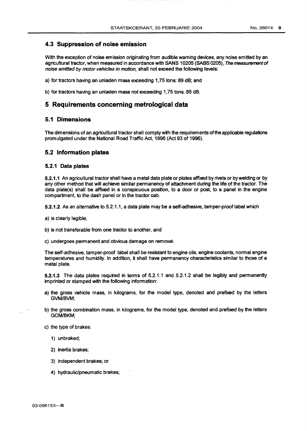### **4.3 Suppression of noise emission**

With the exception of noise emission originating from audible warning devices, any noise emitted by an agricultural tractor, when measured in accordance with SANS 10205 (SABS 0205), The measurement of noise emitted by motor vehicles in motion, shall not exceed the following levels:

a) for tractors having an unladen mass exceeding 1,75 tons: 89 dB; and

b) for tractors having an unladen mass not exceeding 1,75 tons: 85 dB.

### **5 Requirements concerning metrological data**

### **5.1 Dimensions**

The dimensions of an agricultural tractor shall comply with the requirements of the applicable regulations promulgated under the National Road Traffic Act, 1996 (Act 93 of 1996).

#### **5.2 Information plates**

#### **5.2.1 Data plates**

5.2.1.1 An agricultural tractor shall have a metal data plate or plates affixed by rivets or by welding or by any other method that will achieve similar permanency of attachment during the life of the tractor. The data plate(s) shall be affixed in a conspicuous position, to a door or post, to a panel in the engine compartment, to the dash panel or in the tractor cab.

5.2.1.2 As an alternative to 5.2.1.1, a data plate may be a self-adhesive, tamper-proof label which

- a) is clearly legible,
- b) is not transferable from one tractor to another, and
- c) undergoes permanent and obvious damage on removal.

The self-adhesive, tamper-proof label shall be resistant to engine oils, engine coolants, normal engine temperatures and humidity. In addition, it shall have permanency characteristics similar to those of a metal plate.

5.2.1.3 The data plates required in terms of 5.2.1.1 and 5.2.1.2 shall be legibly and permanently imprinted or stamped with the following information:

- a) the gross vehicle mass, in kilograms, for the model type, denoted and prefixed by the letters GVM/BVM;
- b) the gross combination mass, in kilograms, for the model type, denoted and prefixed by the letters GCM/BKM;

c) the type of brakes:

1) unbraked;

- 2) inertia brakes;
- 3) independent brakes; or
- 4) hydraulic/pneumatic brakes;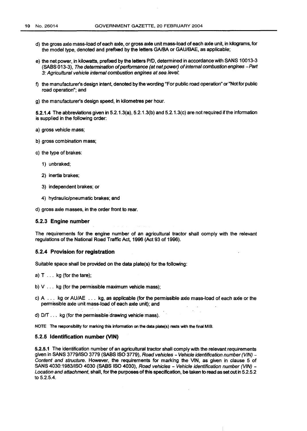- d) the gross axle mass-load of each axle, or gross axle unit mass-load of each axle unit, in kilograms, for the model type, denoted and prefixed by the letters GA/BA or GAU/BAE, as applicable;
- e) the net power, in kilowatts, prefixed by the letters P/D, determined in accordance with SANS 10013-3 (SABS 013-3), The determination of performance (at net power) of internal combustion engines -Part 3: Agricultural vehicle internal combustion engines at sea level;
- f) the manufacturer's design intent, denoted by the wording "For public road operation" or "Not for public road operation"; and
- g) the manufacturer's design speed, in kilometres per hour.

5.2.1.4 The abbreviations given in 5.2.1.3(a), 5.2.1.3(b) and 5.2.1.3(c) are not required if the information is supplied in the following order:

- a) gross vehicle mass;
- b) gross combination mass;
- c) the type of brakes:
	- 1) unbraked;
	- 2) inertia brakes;
	- 3) independent brakes; or
	- 4) hydraulic/pneumatic brakes; and

d) gross axle masses, in the order front to rear.

#### **5.2.3 Engine number**

The requirements for the engine number of an agricultural tractor shall comply with the relevant regulations of the National Road Traffic Act, 1996 (Act 93 of 1996).

#### **5.2.4 Provision for registration**

Suitable space shall be provided on the data plate(s) for the following:

- a) T ... kg (for the tare);
- b)  $V \ldots$  kg (for the permissible maximum vehicle mass);
- c) A ... kg or AU/AE ... kg, as applicable (for the permissible axle mass-load of each axle or the permissible axle unit mass-load of each axle unit); and
- d) D/T... kg (for the permissible drawing vehicle mass).
- NOTE The responsibility for marking this information on the data plate(s) rests with the final MIB.

### **5.2.5 Identification number (VIN)**

5.2.5.1 The identification number of an agricultural tractor shall comply with the relevant requirements given in SANS 3779/ISO 3779 (SABS ISO 3779), Road vehicles - Vehicle identification number (VIN) -Content and structure. However, the requirements for marking the VIN, as given in clause 5 of SANS 4030:1983/ISO 4030 (SABS ISO 4030), Road vehicles - Vehicle identification number (VIN) -Location and attachment, shall, for the purposes of this specification, be taken to read as set out in 5.2.5.2 to 5.2.5.4.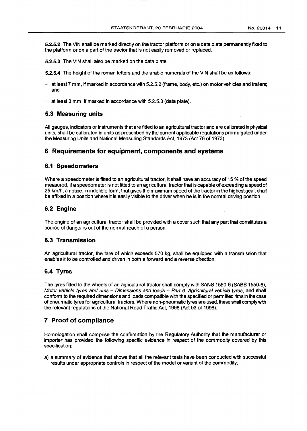5.2.5.2 The VIN shall be marked directly on the tractor platform or on a data plate permanently fixed to the platform or on a part of the tractor that is not easily removed or replaced.

5.2.5.3 The VIN shall also be marked on the data plate.

5.2.5.4 The height of the roman letters and the arabic numerals of the VIN shall be as follows:

- at least 7 mm, if marked in accordance with 5.2.5.2 (frame, body, etc.) on motor vehicles and trailers; and
- at least 3 mm, if marked in accordance with 5.2.5.3 (data plate).

### **5.3 Measuring units**

All gauges, indicators or instruments that are fitted to an agricultural tractor and are calibrated in physical units, shall be calibrated in units as prescribed by the current applicable regulations promulgated under the Measuring Units and National Measuring Standards Act, 1973 (Act 76 of 1973).

## **6 Requirements for equipment, components and systems**

### **6.1 Speedometers**

Where a speedometer is fitted to an agricultural tractor, it shall have an accuracy of 15 % of the speed measured. If a speedometer is not fitted to an agricultural tractor that is capable of exceeding a speed of 25 km/h, a notice, in indelible form, that gives the maximum speed of the tractor in the highest gear, shall be affixed in a position where it is easily visible to the driver when he is in the normal driving position.

#### **6.2 Engine**

The engine of an agricultural tractor shall be provided with a cover such that any part that constitutes a source of danger is out of the normal reach of a person.

#### **6.3 Transmission**

An agricultural tractor, the tare of which exceeds 570 kg, shall be equipped with a transmission that enables it to be controlled and driven in both a forward and a reverse direction.

### **6.4 Tyres**

The tyres fitted to the wheels of an agricultural tractor shall comply with SANS 1550-6 (SABS 1550-6), Motor vehicle tyres and rims - Dimensions and loads - Part 6: Agricultural vehicle tyres, and shall conform to the required dimensions and loads compatible with the specified or permitted rims in the case of pneumatic tyres for agricultural tractors. Where non-pneumatic tyres are used, these shall comply with the relevant regulations of the National Road Traffic Act, 1996 (Act 93 of 1996).

## **7 Proof of compliance**

Homologation shall comprise the confirmation by the Regulatory Authority that the manufacturer or importer has provided the following specific evidence in respect of the commodity covered by this specification:

a) a summary of evidence that shows that all the relevant tests have been conducted with successful results under appropriate controls in respect of the model or variant of the commodity;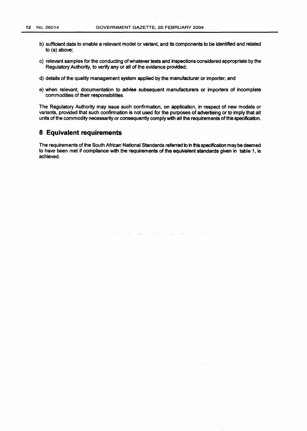- b) sufficient data to enable a relevant model or variant, and its components to be identified and related to (a) above;
- c) relevant samples for the conducting of whatever tests and inspections considered appropriate by the Regulatory Authority, to verify any or all of the evidence provided;
- d) details of the qualify management system applied by the manufacturer or importer; and
- e) when relevant, documentation to advise subsequent manufacturers or importers of incomplete commodities of their responsibilities.

The Regulatory Authority may issue such confirmation, on application, in respect of new models or variants, provided that such confirmation is not used for the purposes of advertising or to imply that all units of the commodity necessarily or consequently comply with all the requirements of the specification.

### **8 Equivalent requirements**

The requirements of the South African National Standards referred to in this specification may be deemed to have been met if compliance with the requirements of the equivalent standards given in table 1, is achieved.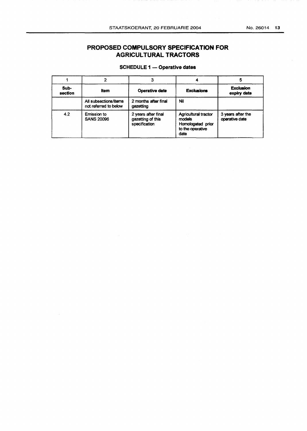# **PROPOSED COMPULSORY SPECIFICATION FOR AGRICULTURAL TRACTORS**

## SCHEDULE 1 — Operative dates

|                 |                                                |                                                           |                                                                                        | 5<br><b>Exclusion</b><br>expiry date |  |
|-----------------|------------------------------------------------|-----------------------------------------------------------|----------------------------------------------------------------------------------------|--------------------------------------|--|
| Sub-<br>section | Item                                           | <b>Operative date</b>                                     | <b>Exclusions</b>                                                                      |                                      |  |
|                 | All subsections/items<br>not referred to below | 2 months after final<br>gazetting                         | Nil                                                                                    |                                      |  |
| 4.2             | <b>Emission to</b><br><b>SANS 20096</b>        | 2 years after final<br>gazetting of this<br>specification | <b>Agricultural tractor</b><br>models<br>Homologated prior<br>to the operative<br>date | 3 years after the<br>operative date  |  |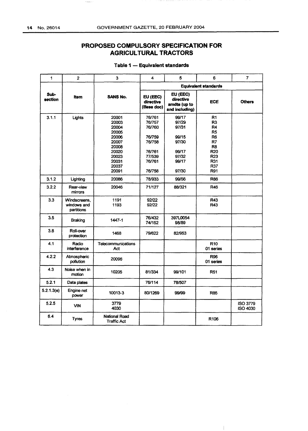$\label{eq:1} \begin{aligned} \mathcal{C}(\mathcal{L}_{\text{P}}^{\text{max}}(\mathcal{A}_{\text{P}}^{\text{max}})) = \mathcal{C}(\mathcal{L}_{\text{P}}^{\text{max}}(\mathcal{A}_{\text{P}}^{\text{max}})) \end{aligned}$ 

# **PROPOSED COMPULSORY SPECIFICATION FOR AGRICULTURAL TRACTORS**

| 1               | $\overline{2}$                            | 3                                                                                                        | 4                                                                                      | 5                                                                             | 6                                                                                                                                       | $\overline{7}$                     |  |
|-----------------|-------------------------------------------|----------------------------------------------------------------------------------------------------------|----------------------------------------------------------------------------------------|-------------------------------------------------------------------------------|-----------------------------------------------------------------------------------------------------------------------------------------|------------------------------------|--|
|                 |                                           |                                                                                                          | <b>Equivalent standards</b>                                                            |                                                                               |                                                                                                                                         |                                    |  |
| Sub-<br>section | <b>Item</b>                               | <b>SANS No.</b>                                                                                          | EU (EEC)<br>directive<br>(Base doc)                                                    | EU (EEC)<br>directive<br>amdts (up to<br>and including)                       | ECE                                                                                                                                     | <b>Others</b>                      |  |
| 3.1.1           | Lights                                    | 20001<br>20003<br>20004<br>20005<br>20006<br>20007<br>20008<br>20020<br>20023<br>20031<br>20037<br>20091 | 76/761<br>76/757<br>76/760<br>76/759<br>76/758<br>76/761<br>77/539<br>76/761<br>76/758 | 99/17<br>97/29<br>97/31<br>99/15<br>97/30<br>99/17<br>97/32<br>99/17<br>97/30 | R <sub>1</sub><br>R3<br>R4<br>R <sub>5</sub><br>R <sub>6</sub><br>R7<br>R <sub>8</sub><br><b>R20</b><br><b>R23</b><br>R31<br>R37<br>R91 |                                    |  |
| 3.1.2           | Lighting                                  | 20086                                                                                                    | 78/933                                                                                 | 99/56                                                                         | <b>R86</b>                                                                                                                              |                                    |  |
| 3.2.2           | Rear-view<br>mirrors                      | 20046                                                                                                    | 71/127                                                                                 | 88/321                                                                        | <b>R46</b>                                                                                                                              |                                    |  |
| 3.3             | Windscreens,<br>windows and<br>partitions | 1191<br>1193                                                                                             | 92/22<br>92/22                                                                         |                                                                               | R43<br><b>R43</b>                                                                                                                       |                                    |  |
| 3.5             | <b>Braking</b>                            | 1447-1                                                                                                   | 76/432<br>74/152                                                                       | 397L0054<br>98/89                                                             |                                                                                                                                         |                                    |  |
| 3.8             | Roll-over<br>protection                   | 1468                                                                                                     | 79/622                                                                                 | 82/953                                                                        |                                                                                                                                         |                                    |  |
| 4.1             | Radio<br>interference                     | <b>Telecommunications</b><br>Act                                                                         |                                                                                        |                                                                               | <b>R10</b><br>01 series                                                                                                                 |                                    |  |
| 4.2.2           | Atmospheric<br>pollution                  | 20096                                                                                                    |                                                                                        |                                                                               | <b>R96</b><br>01 series                                                                                                                 |                                    |  |
| 4.3             | Noise when in<br>motion                   | 10205                                                                                                    | 81/334                                                                                 | 99/101                                                                        | R51                                                                                                                                     |                                    |  |
| 5.2.1           | Data plates                               |                                                                                                          | 76/114                                                                                 | 78/507                                                                        |                                                                                                                                         |                                    |  |
| 5.2.1.3(e)      | Engine net<br>power                       | 10013-3                                                                                                  | 80/1269                                                                                | 99/99                                                                         | <b>R85</b>                                                                                                                              |                                    |  |
| 5.2.5           | <b>VIN</b>                                | 3779<br>4030                                                                                             |                                                                                        |                                                                               |                                                                                                                                         | <b>ISO 3779</b><br><b>ISO 4030</b> |  |
| 6.4             | <b>Tyres</b>                              | <b>National Road</b><br><b>Traffic Act</b>                                                               |                                                                                        |                                                                               | R <sub>106</sub>                                                                                                                        |                                    |  |

### **Table 1 — Equivalent standards**